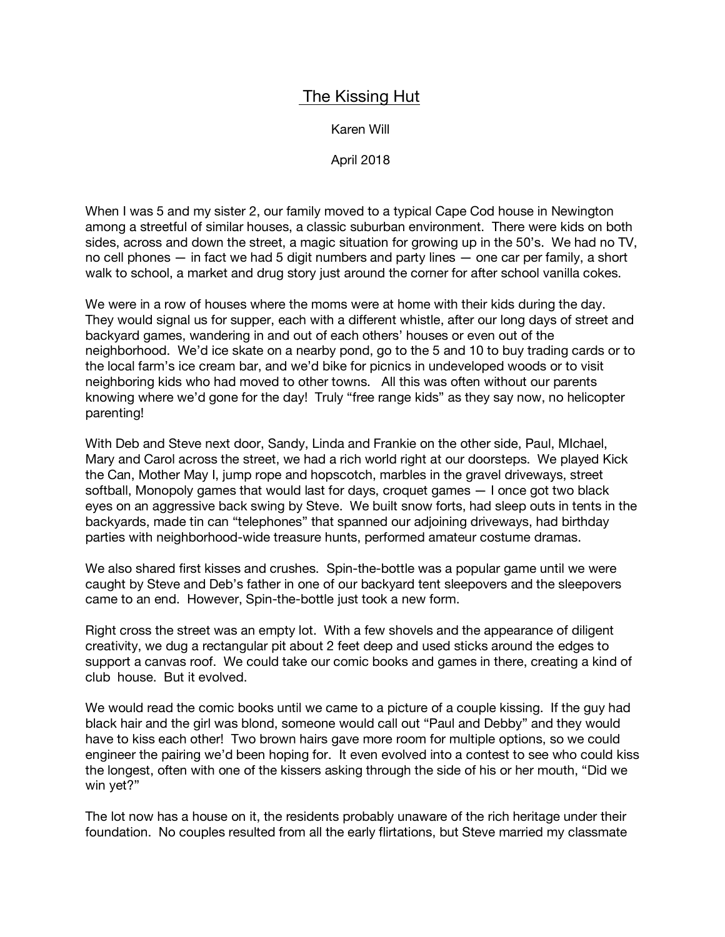## The Kissing Hut

Karen Will

April 2018

When I was 5 and my sister 2, our family moved to a typical Cape Cod house in Newington among a streetful of similar houses, a classic suburban environment. There were kids on both sides, across and down the street, a magic situation for growing up in the 50's. We had no TV, no cell phones — in fact we had 5 digit numbers and party lines — one car per family, a short walk to school, a market and drug story just around the corner for after school vanilla cokes.

We were in a row of houses where the moms were at home with their kids during the day. They would signal us for supper, each with a different whistle, after our long days of street and backyard games, wandering in and out of each others' houses or even out of the neighborhood. We'd ice skate on a nearby pond, go to the 5 and 10 to buy trading cards or to the local farm's ice cream bar, and we'd bike for picnics in undeveloped woods or to visit neighboring kids who had moved to other towns. All this was often without our parents knowing where we'd gone for the day! Truly "free range kids" as they say now, no helicopter parenting!

With Deb and Steve next door, Sandy, Linda and Frankie on the other side, Paul, MIchael, Mary and Carol across the street, we had a rich world right at our doorsteps. We played Kick the Can, Mother May I, jump rope and hopscotch, marbles in the gravel driveways, street softball, Monopoly games that would last for days, croquet games — I once got two black eyes on an aggressive back swing by Steve. We built snow forts, had sleep outs in tents in the backyards, made tin can "telephones" that spanned our adjoining driveways, had birthday parties with neighborhood-wide treasure hunts, performed amateur costume dramas.

We also shared first kisses and crushes. Spin-the-bottle was a popular game until we were caught by Steve and Deb's father in one of our backyard tent sleepovers and the sleepovers came to an end. However, Spin-the-bottle just took a new form.

Right cross the street was an empty lot. With a few shovels and the appearance of diligent creativity, we dug a rectangular pit about 2 feet deep and used sticks around the edges to support a canvas roof. We could take our comic books and games in there, creating a kind of club house. But it evolved.

We would read the comic books until we came to a picture of a couple kissing. If the guy had black hair and the girl was blond, someone would call out "Paul and Debby" and they would have to kiss each other! Two brown hairs gave more room for multiple options, so we could engineer the pairing we'd been hoping for. It even evolved into a contest to see who could kiss the longest, often with one of the kissers asking through the side of his or her mouth, "Did we win yet?"

The lot now has a house on it, the residents probably unaware of the rich heritage under their foundation. No couples resulted from all the early flirtations, but Steve married my classmate